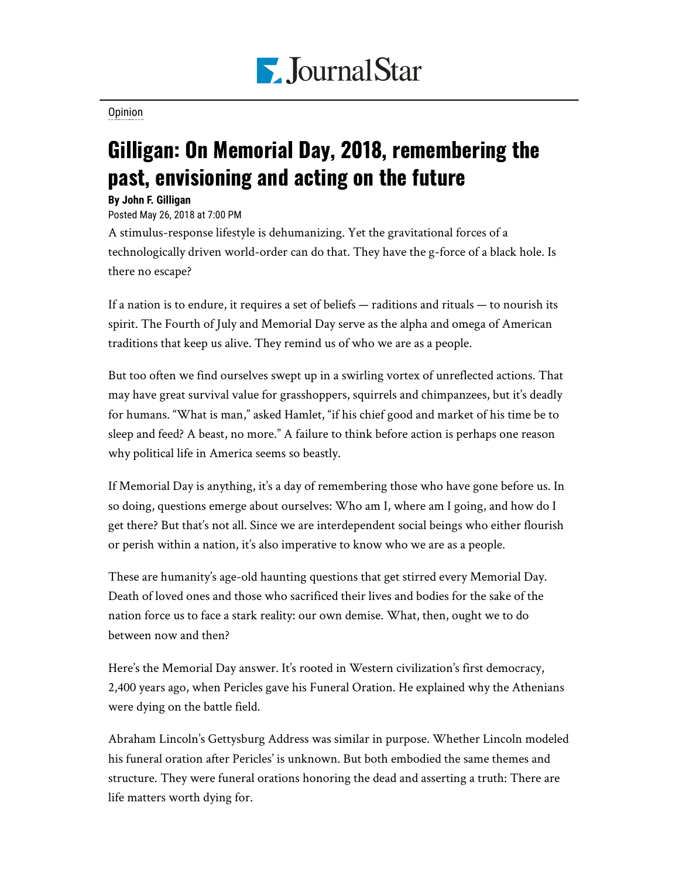

[Opinion](https://www.pjstar.com/search?text=Opinion)

## Gilligan: On Memorial Day, 2018, remembering the past, envisioning and acting on the future

## **By John F. Gilligan**

Posted May 26, 2018 at 7:00 PM

A stimulus-response lifestyle is dehumanizing. Yet the gravitational forces of a technologically driven world-order can do that. They have the g-force of a black hole. Is there no escape?

If a nation is to endure, it requires a set of beliefs — raditions and rituals — to nourish its spirit. The Fourth of July and Memorial Day serve as the alpha and omega of American traditions that keep us alive. They remind us of who we are as a people.

But too often we find ourselves swept up in a swirling vortex of unreflected actions. That may have great survival value for grasshoppers, squirrels and chimpanzees, but it's deadly for humans. "What is man," asked Hamlet, "if his chief good and market of his time be to sleep and feed? A beast, no more." A failure to think before action is perhaps one reason why political life in America seems so beastly.

If Memorial Day is anything, it's a day of remembering those who have gone before us. In so doing, questions emerge about ourselves: Who am I, where am I going, and how do I get there? But that's not all. Since we are interdependent social beings who either flourish or perish within a nation, it's also imperative to know who we are as a people.

These are humanity's age-old haunting questions that get stirred every Memorial Day. Death of loved ones and those who sacrificed their lives and bodies for the sake of the nation force us to face a stark reality: our own demise. What, then, ought we to do between now and then?

Here's the Memorial Day answer. It's rooted in Western civilization's first democracy, 2,400 years ago, when Pericles gave his Funeral Oration. He explained why the Athenians were dying on the battle field.

Abraham Lincoln's Gettysburg Address was similar in purpose. Whether Lincoln modeled his funeral oration after Pericles' is unknown. But both embodied the same themes and structure. They were funeral orations honoring the dead and asserting a truth: There are life matters worth dying for.